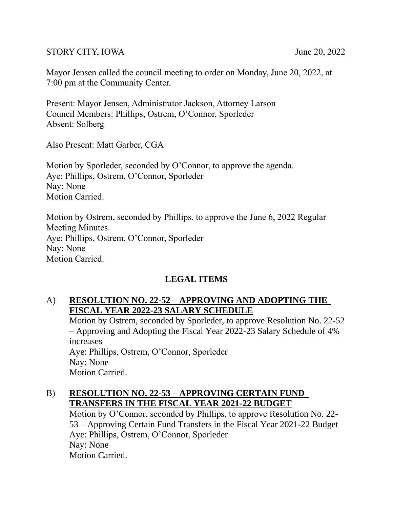#### STORY CITY, IOWA June 20, 2022

Mayor Jensen called the council meeting to order on Monday, June 20, 2022, at 7:00 pm at the Community Center.

Present: Mayor Jensen, Administrator Jackson, Attorney Larson Council Members: Phillips, Ostrem, O'Connor, Sporleder Absent: Solberg

Also Present: Matt Garber, CGA

Motion by Sporleder, seconded by O'Connor, to approve the agenda. Aye: Phillips, Ostrem, O'Connor, Sporleder Nay: None Motion Carried.

Motion by Ostrem, seconded by Phillips, to approve the June 6, 2022 Regular Meeting Minutes. Aye: Phillips, Ostrem, O'Connor, Sporleder Nay: None Motion Carried.

# **LEGAL ITEMS**

# A) **RESOLUTION NO. 22-52 – APPROVING AND ADOPTING THE FISCAL YEAR 2022-23 SALARY SCHEDULE**

Motion by Ostrem, seconded by Sporleder, to approve Resolution No. 22-52 – Approving and Adopting the Fiscal Year 2022-23 Salary Schedule of 4% increases Aye: Phillips, Ostrem, O'Connor, Sporleder Nay: None Motion Carried.

#### B) **RESOLUTION NO. 22-53 – APPROVING CERTAIN FUND TRANSFERS IN THE FISCAL YEAR 2021-22 BUDGET**

Motion by O'Connor, seconded by Phillips, to approve Resolution No. 22- 53 – Approving Certain Fund Transfers in the Fiscal Year 2021-22 Budget Aye: Phillips, Ostrem, O'Connor, Sporleder Nay: None Motion Carried.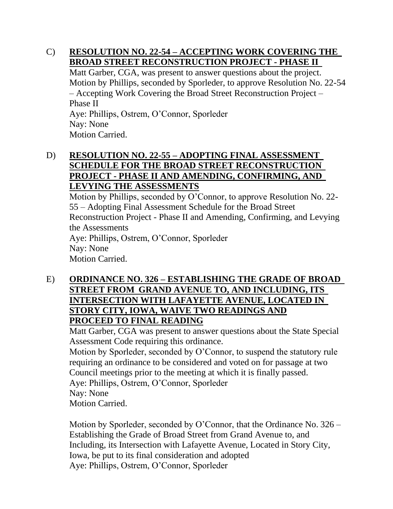### C) **RESOLUTION NO. 22-54 – ACCEPTING WORK COVERING THE BROAD STREET RECONSTRUCTION PROJECT - PHASE II**

Matt Garber, CGA, was present to answer questions about the project. Motion by Phillips, seconded by Sporleder, to approve Resolution No. 22-54 – Accepting Work Covering the Broad Street Reconstruction Project – Phase II Aye: Phillips, Ostrem, O'Connor, Sporleder Nay: None Motion Carried.

# D) **RESOLUTION NO. 22-55 – ADOPTING FINAL ASSESSMENT SCHEDULE FOR THE BROAD STREET RECONSTRUCTION PROJECT - PHASE II AND AMENDING, CONFIRMING, AND LEVYING THE ASSESSMENTS**

Motion by Phillips, seconded by O'Connor, to approve Resolution No. 22- 55 – Adopting Final Assessment Schedule for the Broad Street Reconstruction Project - Phase II and Amending, Confirming, and Levying the Assessments Aye: Phillips, Ostrem, O'Connor, Sporleder Nay: None Motion Carried.

E) **ORDINANCE NO. 326 – ESTABLISHING THE GRADE OF BROAD STREET FROM GRAND AVENUE TO, AND INCLUDING, ITS INTERSECTION WITH LAFAYETTE AVENUE, LOCATED IN STORY CITY, IOWA, WAIVE TWO READINGS AND PROCEED TO FINAL READING**

Matt Garber, CGA was present to answer questions about the State Special Assessment Code requiring this ordinance.

Motion by Sporleder, seconded by O'Connor, to suspend the statutory rule requiring an ordinance to be considered and voted on for passage at two Council meetings prior to the meeting at which it is finally passed. Aye: Phillips, Ostrem, O'Connor, Sporleder Nay: None Motion Carried.

Motion by Sporleder, seconded by O'Connor, that the Ordinance No. 326 – Establishing the Grade of Broad Street from Grand Avenue to, and Including, its Intersection with Lafayette Avenue, Located in Story City, Iowa, be put to its final consideration and adopted Aye: Phillips, Ostrem, O'Connor, Sporleder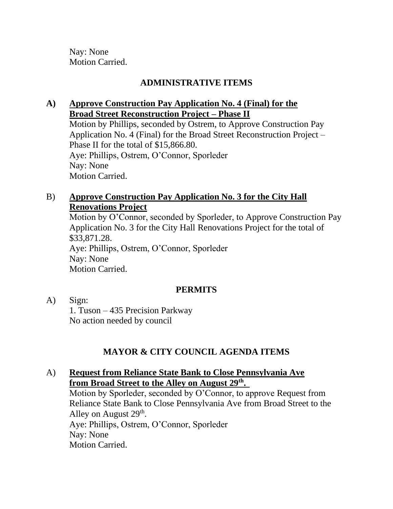Nay: None Motion Carried.

# **ADMINISTRATIVE ITEMS**

# **A) Approve Construction Pay Application No. 4 (Final) for the Broad Street Reconstruction Project – Phase II**

Motion by Phillips, seconded by Ostrem, to Approve Construction Pay Application No. 4 (Final) for the Broad Street Reconstruction Project – Phase II for the total of \$15,866.80. Aye: Phillips, Ostrem, O'Connor, Sporleder Nay: None Motion Carried.

### B) **Approve Construction Pay Application No. 3 for the City Hall Renovations Project**

Motion by O'Connor, seconded by Sporleder, to Approve Construction Pay Application No. 3 for the City Hall Renovations Project for the total of \$33,871.28. Aye: Phillips, Ostrem, O'Connor, Sporleder Nay: None Motion Carried.

### **PERMITS**

#### A) Sign:

1. Tuson – 435 Precision Parkway No action needed by council

# **MAYOR & CITY COUNCIL AGENDA ITEMS**

### A) **Request from Reliance State Bank to Close Pennsylvania Ave from Broad Street to the Alley on August 29th .**

Motion by Sporleder, seconded by O'Connor, to approve Request from Reliance State Bank to Close Pennsylvania Ave from Broad Street to the Alley on August  $29<sup>th</sup>$ . Aye: Phillips, Ostrem, O'Connor, Sporleder Nay: None Motion Carried.